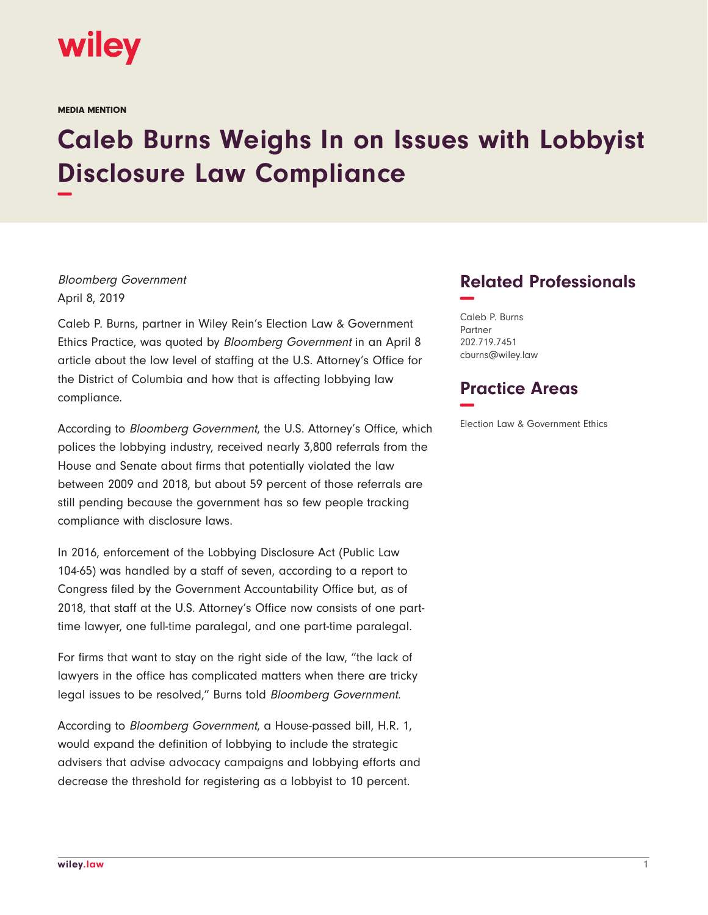

MEDIA MENTION

## **Caleb Burns Weighs In on Issues with Lobbyist Disclosure Law Compliance −**

Bloomberg Government April 8, 2019

Caleb P. Burns, partner in Wiley Rein's Election Law & Government Ethics Practice, was quoted by Bloomberg Government in an April 8 article about the low level of staffing at the U.S. Attorney's Office for the District of Columbia and how that is affecting lobbying law compliance.

According to Bloomberg Government, the U.S. Attorney's Office, which polices the lobbying industry, received nearly 3,800 referrals from the House and Senate about firms that potentially violated the law between 2009 and 2018, but about 59 percent of those referrals are still pending because the government has so few people tracking compliance with disclosure laws.

In 2016, enforcement of the Lobbying Disclosure Act (Public Law 104-65) was handled by a staff of seven, according to a report to Congress filed by the Government Accountability Office but, as of 2018, that staff at the U.S. Attorney's Office now consists of one parttime lawyer, one full-time paralegal, and one part-time paralegal.

For firms that want to stay on the right side of the law, "the lack of lawyers in the office has complicated matters when there are tricky legal issues to be resolved," Burns told Bloomberg Government.

According to Bloomberg Government, a House-passed bill, H.R. 1, would expand the definition of lobbying to include the strategic advisers that advise advocacy campaigns and lobbying efforts and decrease the threshold for registering as a lobbyist to 10 percent.

## **Related Professionals −**

Caleb P. Burns Partner 202.719.7451 cburns@wiley.law

## **Practice Areas −**

Election Law & Government Ethics